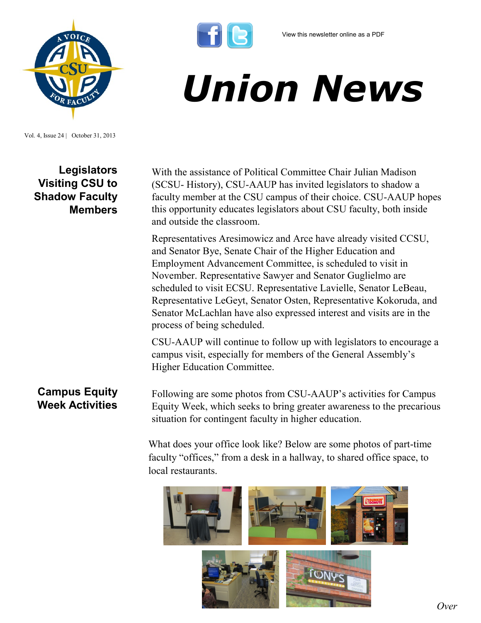

## *Union News*

Vol. 4, Issue 24 | October 31, 2013

**Legislators Visiting CSU to Shadow Faculty Members**

With the assistance of Political Committee Chair Julian Madison (SCSU- History), CSU-AAUP has invited legislators to shadow a faculty member at the CSU campus of their choice. CSU-AAUP hopes this opportunity educates legislators about CSU faculty, both inside and outside the classroom.

Representatives Aresimowicz and Arce have already visited CCSU, and Senator Bye, Senate Chair of the Higher Education and Employment Advancement Committee, is scheduled to visit in November. Representative Sawyer and Senator Guglielmo are scheduled to visit ECSU. Representative Lavielle, Senator LeBeau, Representative LeGeyt, Senator Osten, Representative Kokoruda, and Senator McLachlan have also expressed interest and visits are in the process of being scheduled.

CSU-AAUP will continue to follow up with legislators to encourage a campus visit, especially for members of the General Assembly's Higher Education Committee.

## **Campus Equity Week Activities**

Following are some photos from CSU-AAUP's activities for Campus Equity Week, which seeks to bring greater awareness to the precarious situation for contingent faculty in higher education.

What does your office look like? Below are some photos of part-time faculty "offices," from a desk in a hallway, to shared office space, to local restaurants.